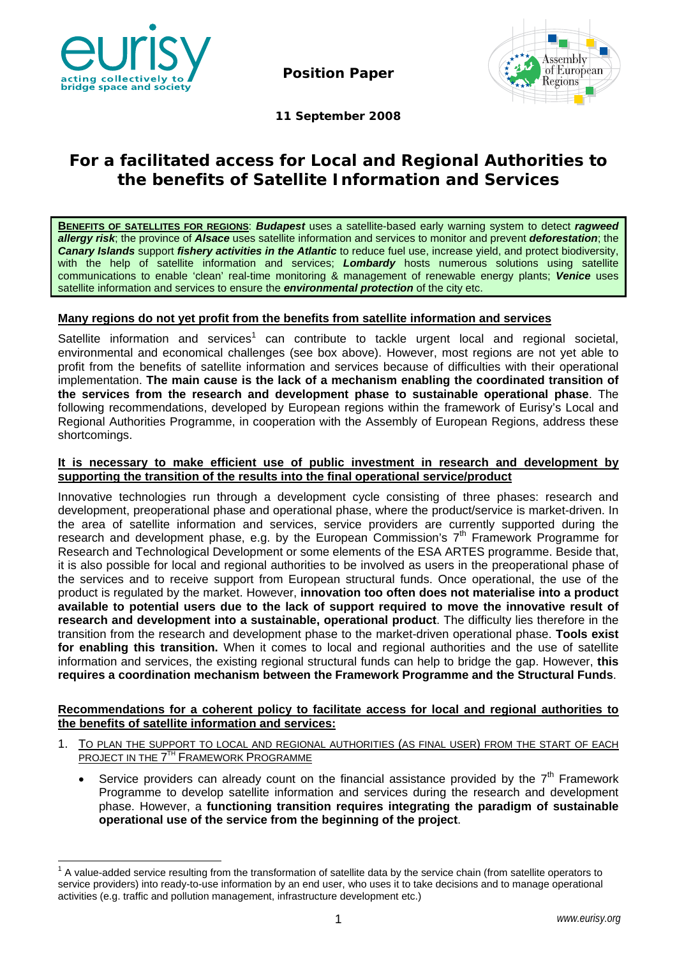

**Position Paper** 



**11 September 2008** 

# **For a facilitated access for Local and Regional Authorities to the benefits of Satellite Information and Services**

**BENEFITS OF SATELLITES FOR REGIONS**: *Budapest* uses a satellite-based early warning system to detect *ragweed allergy risk*; the province of *Alsace* uses satellite information and services to monitor and prevent *deforestation*; the *Canary Islands* support *fishery activities in the Atlantic* to reduce fuel use, increase yield, and protect biodiversity, with the help of satellite information and services; *Lombardy* hosts numerous solutions using satellite communications to enable 'clean' real-time monitoring & management of renewable energy plants; *Venice* uses satellite information and services to ensure the *environmental protection* of the city etc.

## **Many regions do not yet profit from the benefits from satellite information and services**

Satellite information and services<sup>1</sup> can contribute to tackle urgent local and regional societal, environmental and economical challenges (see box above). However, most regions are not yet able to profit from the benefits of satellite information and services because of difficulties with their operational implementation. **The main cause is the lack of a mechanism enabling the coordinated transition of the services from the research and development phase to sustainable operational phase**. The following recommendations, developed by European regions within the framework of Eurisy's Local and Regional Authorities Programme, in cooperation with the Assembly of European Regions, address these shortcomings.

### **It is necessary to make efficient use of public investment in research and development by supporting the transition of the results into the final operational service/product**

Innovative technologies run through a development cycle consisting of three phases: research and development, preoperational phase and operational phase, where the product/service is market-driven. In the area of satellite information and services, service providers are currently supported during the research and development phase, e.g. by the European Commission's  $7<sup>th</sup>$  Framework Programme for Research and Technological Development or some elements of the ESA ARTES programme. Beside that, it is also possible for local and regional authorities to be involved as users in the preoperational phase of the services and to receive support from European structural funds. Once operational, the use of the product is regulated by the market. However, **innovation too often does not materialise into a product available to potential users due to the lack of support required to move the innovative result of research and development into a sustainable, operational product**. The difficulty lies therefore in the transition from the research and development phase to the market-driven operational phase. **Tools exist for enabling this transition.** When it comes to local and regional authorities and the use of satellite information and services, the existing regional structural funds can help to bridge the gap. However, **this requires a coordination mechanism between the Framework Programme and the Structural Funds**.

## **Recommendations for a coherent policy to facilitate access for local and regional authorities to the benefits of satellite information and services:**

- 1. TO PLAN THE SUPPORT TO LOCAL AND REGIONAL AUTHORITIES (AS FINAL USER) FROM THE START OF EACH PROJECT IN THE 7<sup>TH</sup> FRAMEWORK PROGRAMME
	- Service providers can already count on the financial assistance provided by the  $7<sup>th</sup>$  Framework Programme to develop satellite information and services during the research and development phase. However, a **functioning transition requires integrating the paradigm of sustainable operational use of the service from the beginning of the project**.

The value-added service resulting from the transformation of satellite data by the service chain (from satellite operators to  $1$ <sup>1</sup> A value-added service resulting from the transformation of satellite data by the service service providers) into ready-to-use information by an end user, who uses it to take decisions and to manage operational activities (e.g. traffic and pollution management, infrastructure development etc.)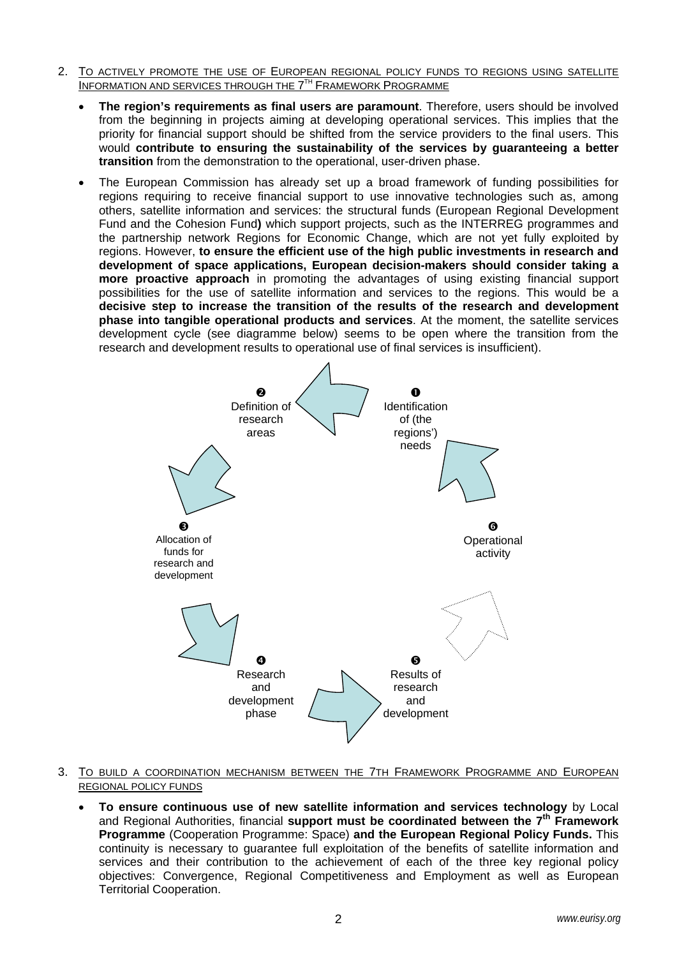- 2. TO ACTIVELY PROMOTE THE USE OF EUROPEAN REGIONAL POLICY FUNDS TO REGIONS USING SATELLITE **INFORMATION AND SERVICES THROUGH THE 7<sup>TH</sup> FRAMEWORK PROGRAMME** 
	- **The region's requirements as final users are paramount**. Therefore, users should be involved from the beginning in projects aiming at developing operational services. This implies that the priority for financial support should be shifted from the service providers to the final users. This would **contribute to ensuring the sustainability of the services by guaranteeing a better transition** from the demonstration to the operational, user-driven phase.
	- The European Commission has already set up a broad framework of funding possibilities for regions requiring to receive financial support to use innovative technologies such as, among others, satellite information and services: the structural funds (European Regional Development Fund and the Cohesion Fund**)** which support projects, such as the INTERREG programmes and the partnership network Regions for Economic Change, which are not yet fully exploited by regions. However, **to ensure the efficient use of the high public investments in research and development of space applications, European decision-makers should consider taking a more proactive approach** in promoting the advantages of using existing financial support possibilities for the use of satellite information and services to the regions. This would be a **decisive step to increase the transition of the results of the research and development phase into tangible operational products and services**. At the moment, the satellite services development cycle (see diagramme below) seems to be open where the transition from the research and development results to operational use of final services is insufficient).



#### 3. TO BUILD A COORDINATION MECHANISM BETWEEN THE 7TH FRAMEWORK PROGRAMME AND EUROPEAN REGIONAL POLICY FUNDS

• **To ensure continuous use of new satellite information and services technology** by Local and Regional Authorities, financial **support must be coordinated between the 7<sup>th</sup> Framework Programme** (Cooperation Programme: Space) **and the European Regional Policy Funds.** This continuity is necessary to guarantee full exploitation of the benefits of satellite information and services and their contribution to the achievement of each of the three key regional policy objectives: Convergence, Regional Competitiveness and Employment as well as European Territorial Cooperation.